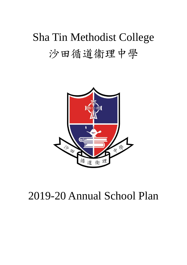# Sha Tin Methodist College 沙田循道衞理中學



# 2019-20 Annual School Plan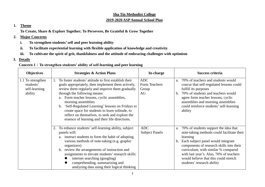#### **Sha Tin Methodist College 2019-2020 ASP Annual School Plan**

#### **1. Theme**

**To Create, Share & Explore Together; To Persevere, Be Grateful & Grow Together**

- **2. Major Concerns**
	- **i. To strengthen students'self and peer learning ability**
	- **ii. To facilitate experiential learning with flexible application of knowledge and creativity**
	- **iii. To cultivate the spirit of grit, thankfulness and the attitude of embracing challenges with optimism**
- **3. Details**

#### **Concern 1**:**To strengthen students' ability of self-learning and peer learning**

| <b>Objectives</b>                                          | <b>Strategies &amp; Action Plans</b>                                                                                                                                                                                                                                                                                                                                                                                                                                                                | In-charge                                  | Success criteria                                                                                                                                                                                                                                                                                                                                       |
|------------------------------------------------------------|-----------------------------------------------------------------------------------------------------------------------------------------------------------------------------------------------------------------------------------------------------------------------------------------------------------------------------------------------------------------------------------------------------------------------------------------------------------------------------------------------------|--------------------------------------------|--------------------------------------------------------------------------------------------------------------------------------------------------------------------------------------------------------------------------------------------------------------------------------------------------------------------------------------------------------|
| 1.1 To strengthen<br>students'<br>self-learning<br>ability | To foster students' attitude to first establish their<br>goals appropriately, then implement them actively,<br>review them regularly and improve them gradually<br>through the following means:<br>Form teacher lessons, cyclic assemblies,<br>a.<br>morning assemblies<br>'Self-Regulated Learning' lessons on Fridays to<br>$\mathbf{b}$ .<br>create space for students to learn solitude, to<br>reflect on themselves, to seek and explore the<br>essence of learning and their life directions. | <b>ADC</b><br>Form Teachers<br>Group<br>AG | 70% of teachers and students would<br>a.<br>concur that self-regulated lessons could<br>fulfill its purposes<br>70% of students and teachers would<br>$h_{\cdot}$<br>agree form teacher lessons, cyclic<br>assemblies and morning assemblies<br>could reinforce students' self-learning<br>ability                                                     |
|                                                            | 2. To enhance students' self-learning ability, subject<br>panels will:<br>instruct students to form the habit of adopting<br>a.<br>various methods of note-taking (e.g. graphic<br>organizers)<br>b. review the arrangements of instruction and<br>assignments to elevate students' research skills:<br>internet searching (googling)<br>comprehending, summarizing and<br>analyzing data using their logical thinking                                                                              | <b>ADC</b><br><b>Subject Panels</b>        | 70% of students support the idea that<br>a.<br>note-taking methods could facilitate their<br>learning<br>Each subject panel would integrate<br>b.<br>components of research skills into their<br>curriculum, with similar % compared<br>with last year's. Also, 70% of teachers<br>would believe that this could stretch<br>students' research ability |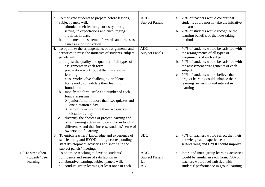|                   | 3. To motivate students to prepare before lessons,<br>subject panels will:                            | <b>ADC</b><br><b>Subject Panels</b> | 70% of teachers would concur that<br>a.<br>students could mostly take the initiative |
|-------------------|-------------------------------------------------------------------------------------------------------|-------------------------------------|--------------------------------------------------------------------------------------|
|                   | a. stimulate their learning curiosity through                                                         |                                     | to learn                                                                             |
|                   | setting up expectations and encouraging                                                               |                                     | b. 70% of students would recognize the                                               |
|                   | inquiries in class<br>b. implement the scheme of awards and prizes as                                 |                                     | learning benefits of the note-taking<br>methods                                      |
|                   | a measure of motivation                                                                               |                                     |                                                                                      |
|                   | 4. To optimize the arrangements of assignments and                                                    | <b>ADC</b>                          | 70% of students would be satisfied with<br>a.                                        |
|                   | activities to raise the initiative of students, subject<br>panels will:                               | <b>Subject Panels</b>               | the arrangements of all types of<br>assignments of each subject                      |
|                   | adjust the quality and quantity of all types of<br>a.                                                 |                                     | 70% of students would be satisfied with<br>b.                                        |
|                   | assignments in each form:                                                                             |                                     | the assessment arrangements of each                                                  |
|                   | preparation work: boost their interest in                                                             |                                     | subject                                                                              |
|                   | learning                                                                                              |                                     | c. 70% of students would believe that                                                |
|                   | class work: solve challenging problems<br>homework: consolidate their learning                        |                                     | project learning could enhance their<br>learning ownership and interest in           |
|                   | foundation                                                                                            |                                     | learning                                                                             |
|                   | modify the form, scale and number of each<br>b.                                                       |                                     |                                                                                      |
|                   | form's assessment                                                                                     |                                     |                                                                                      |
|                   | $\triangleright$ junior form: no more than two quizzes and                                            |                                     |                                                                                      |
|                   | one dictation a day                                                                                   |                                     |                                                                                      |
|                   | $\triangleright$ senior form: no more than two quizzes or                                             |                                     |                                                                                      |
|                   | dictations a day                                                                                      |                                     |                                                                                      |
|                   | diversify the choices of project learning and<br>$\mathbf{c}$ .                                       |                                     |                                                                                      |
|                   | other learning activities to cater for individual<br>differences and thus increase students' sense of |                                     |                                                                                      |
|                   | ownership of learning.                                                                                |                                     |                                                                                      |
|                   | 5. To enrich teachers' knowledge and experience of                                                    | <b>SDC</b>                          | 70% of teachers would reflect that their<br>a.                                       |
|                   | self-learning and BYOD through corresponding                                                          |                                     | knowledge and experience of                                                          |
|                   | staff development activities and sharing in the                                                       |                                     | self-learning and BYOD could improve                                                 |
|                   | subject panels' meetings                                                                              |                                     |                                                                                      |
| 1.2 To strengthen | 1.<br>To optimize teaching to develop students'                                                       | <b>ADC</b>                          | a. Inter- and intra-group learning activities                                        |
| students' peer    | confidence and sense of satisfaction in                                                               | <b>Subject Panels</b>               | would be similar in each form. 70% of                                                |
| learning          | collaborative learning, subject panels will:                                                          | I.T<br>AG                           | teachers would feel satisfied with                                                   |
|                   | a. conduct group learning at least once in each                                                       |                                     | students' performance in group learning                                              |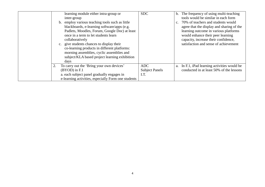| learning module either intra-group or<br>inter-group<br>b. employ various teaching tools such as little<br>blackboards, e-learning software/apps (e.g.<br>Padlets, Moodles, Forum, Google Doc) at least<br>once in a term to let students learn<br>collaboratively<br>c. give students chances to display their<br>co-learning products in different platforms:<br>morning assemblies, cyclic assemblies and<br>subject/KLA based project learning exhibition<br>days | <b>SDC</b>                           | b. The frequency of using multi-teaching<br>tools would be similar in each form<br>70% of teachers and students would<br>$c_{\cdot}$<br>agree that the display and sharing of the<br>learning outcome in various platforms<br>would enhance their peer learning<br>capacity, increase their confidence,<br>satisfaction and sense of achievement |
|-----------------------------------------------------------------------------------------------------------------------------------------------------------------------------------------------------------------------------------------------------------------------------------------------------------------------------------------------------------------------------------------------------------------------------------------------------------------------|--------------------------------------|--------------------------------------------------------------------------------------------------------------------------------------------------------------------------------------------------------------------------------------------------------------------------------------------------------------------------------------------------|
| To carry out the 'Bring your own devices'<br>$(BYOD)$ in F.1<br>a. each subject panel gradually engages in<br>e-learning activities, especially Form one students                                                                                                                                                                                                                                                                                                     | ADC<br><b>Subject Panels</b><br>I.T. | a. In F.1, iPad learning activities would be<br>conducted in at least 50% of the lessons                                                                                                                                                                                                                                                         |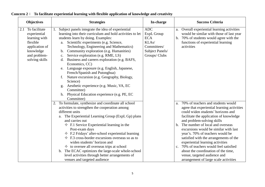|     | <b>Objectives</b>                                                                                                           |    | <b>Strategies</b>                                                                                                                                                                                                                                                                                                                                                                                                                                                                                                                                                                                                                                                                                                 | In-charge                                                                                          |                     | <b>Success Criteria</b>                                                                                                                                                                                                                                                                                                                                                                                                                                                                                                                                    |
|-----|-----------------------------------------------------------------------------------------------------------------------------|----|-------------------------------------------------------------------------------------------------------------------------------------------------------------------------------------------------------------------------------------------------------------------------------------------------------------------------------------------------------------------------------------------------------------------------------------------------------------------------------------------------------------------------------------------------------------------------------------------------------------------------------------------------------------------------------------------------------------------|----------------------------------------------------------------------------------------------------|---------------------|------------------------------------------------------------------------------------------------------------------------------------------------------------------------------------------------------------------------------------------------------------------------------------------------------------------------------------------------------------------------------------------------------------------------------------------------------------------------------------------------------------------------------------------------------------|
| 2.1 | To facilitate<br>experiential<br>learning with<br>flexible<br>application of<br>knowledge<br>and problem-<br>solving skills | 1. | Subject panels integrate the idea of experiential<br>learning into their curriculum and hold activities to let<br>students learn by doing. Examples:<br>a. Scientific experiments (e.g. Science,<br>Technology, Engineering and Mathematics)<br>Community exploration (e.g. Humanities)<br>b.<br>Service exploration (e.g. RME, LS)<br>$\mathbf{C}$ .<br>Business and careers exploration (e.g. BAFS,<br>d.<br>Economics, CC)<br>Language exposure (e.g. English, Japanese,<br>e.<br>French/Spanish and Putonghua)<br>Nature excursion (e.g. Geography, Biology,<br>f.<br>Science)<br>Aesthetic experience (e.g. Music, VA, EC<br>g.<br>Committee)<br>h. Physical Education experience (e.g. PE, EC<br>Committee) | <b>ADC</b><br>ExpL Group<br><b>ECA</b><br>KLAs/<br>Committees/<br>Subject Panels/<br>Groups/ Clubs | a.                  | Overall experiential learning activities<br>would be similar with those of last year<br>b. 70% of students would agree with the<br>functions of experiential learning<br>activities                                                                                                                                                                                                                                                                                                                                                                        |
|     |                                                                                                                             |    | 2. To formulate, synthesize and coordinate all school<br>activities to strengthen the cooperation among<br>different units<br>a. The Experiential Learning Group (ExpL Gp) plans<br>and carries out<br>$\div$ F.1 Service Experiential learning in the<br>Post-exam days<br>$\div$ F.2 Fridays' after-school experiential learning<br>$\div$ F.3 cross-border excursions overseas so as to<br>widen students' horizon and<br>$\diamond$ to oversee all overseas trips at school<br>b. The ECAC optimizes the large-scale whole-school<br>level activities through better arrangements of<br>venues and targeted audience                                                                                          |                                                                                                    | a.<br>$\mathbf b$ . | 70% of teachers and students would<br>agree that experiential learning activities<br>could widen students' horizons and<br>facilitate the application of knowledge<br>and problem-solving skills<br>The number of local and overseas<br>excursions would be similar with last<br>year's. 70% of teachers would be<br>satisfied with the arrangements of the<br>experiential learning activities<br>c. 70% of teachers would feel satisfied<br>about the coordination of the time,<br>venue, targeted audience and<br>arrangement of large scale activities |

**Concern 2**: **To facilitate experiential learning with flexible application of knowledge and creativity**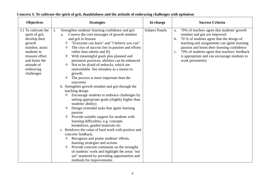| <b>Objectives</b>                                                                                                                                                                   | <b>Strategies</b>                                                                                                                                                                                                                                                                                                                                                                                                                                                                                                                                                                                                                                                                                                                                                                                                                                                                                                                                                                                                                                                                                                                                                                                                                                                                 | In-charge             | <b>Success Criteria</b>                                                                                                                                                                                                                                                                                                                                          |
|-------------------------------------------------------------------------------------------------------------------------------------------------------------------------------------|-----------------------------------------------------------------------------------------------------------------------------------------------------------------------------------------------------------------------------------------------------------------------------------------------------------------------------------------------------------------------------------------------------------------------------------------------------------------------------------------------------------------------------------------------------------------------------------------------------------------------------------------------------------------------------------------------------------------------------------------------------------------------------------------------------------------------------------------------------------------------------------------------------------------------------------------------------------------------------------------------------------------------------------------------------------------------------------------------------------------------------------------------------------------------------------------------------------------------------------------------------------------------------------|-----------------------|------------------------------------------------------------------------------------------------------------------------------------------------------------------------------------------------------------------------------------------------------------------------------------------------------------------------------------------------------------------|
| 3.1 To cultivate the<br>spirit of grit,<br>develop their<br>growth<br>mindset, assist<br>students to<br>treasure effort<br>and foster the<br>attitude of<br>embracing<br>challenges | Strengthen students' learning confidence and grit<br>1.<br>Convey the core messages of growth mindset<br>a.<br>and grit in lessons<br>"Everyone can learn" and "I believe you can"<br>The crux of success lies in passion and efforts<br>✧<br>rather than talents and IQ<br>With meaningful goals plus planned and<br>✧<br>persistent practices, abilities can be enhanced<br>Not to be afraid of setbacks, which are<br>unavoidable. See mistakes as a means to<br>growth.<br>The process is more important than the<br>✧<br>outcomes<br>b. Strengthen growth mindset and grit through the<br>teaching design<br>Encourage students to embrace challenges by<br>setting appropriate goals (slightly higher than<br>students' ability)<br>Design extended tasks that ignite learning<br>✧<br>passion<br>Provide suitable support for students with<br>✧<br>learning difficulties, e.g. concepts<br>breakdown, graded materials etc.<br>c. Reinforce the value of hard work with positive and<br>concrete feedback.<br>Recognize and praise students' efforts,<br>learning strategies and actions<br>Provide concrete comments on the strengths<br>✧<br>of students' work and highlight the areas "not<br>yet" mastered by providing opportunities and<br>methods for improvements | <b>Subject Panels</b> | 70% of teachers agree that students' growth<br>a.<br>mindset and grit are improved<br>70 % of students agree that the design of<br>b.<br>teaching and assignments can ignite learning<br>passion and boost their learning confidence<br>70% of students agree that teachers' feedback<br>c.<br>is appropriate and can encourage students to<br>work persistently |

#### **Concern 3: To cultivate the spirit of grit, thankfulness and the attitude of embracing challenges with optimism**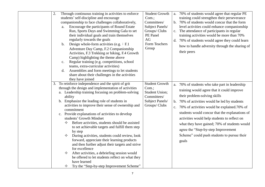| 2. | Through continuous training in activities to enforce<br>students' self-discipline and encourage<br>companionship to face challenges collaboratively,<br>Encourage the participants of Round Estate<br>a.<br>Run, Sports Days and Swimming Gala to set<br>their individual goals and train themselves<br>regularly towards the goals<br>Design whole-form activities (e.g. $:$ F.1<br>$\mathbf b$ .<br>Adventure Day Camp, F.2 Companionship<br>Activities, F.3 Trekking or hiking, F.4 Growth<br>Camp) highlighting the theme above<br>Regular training (e.g. competitions, school<br>c.<br>teams, extra-curricular activities)<br>Assemblies and form meetings to let students<br>d.<br>share about their challenges in the activities<br>they have joined<br>To reinforce independence and the spirit of grit<br>3. | <b>Student Growth</b><br>Com.;<br>Committees/<br>Subject Panels/<br>Groups/ Clubs<br>PE Panel<br>AG<br>Form Teachers<br>Group<br><b>Student Growth</b> | a. 70% of students would agree that regular PE<br>training could strengthen their perseverance<br>b. 70% of students would concur that the form<br>level activities could enhance companionship<br>The attendance of participants in regular<br>c.<br>training activities would be more than 70%<br>d. 70% of students would agree they could learn<br>how to handle adversity through the sharing of<br>their peers                                                                               |
|----|-----------------------------------------------------------------------------------------------------------------------------------------------------------------------------------------------------------------------------------------------------------------------------------------------------------------------------------------------------------------------------------------------------------------------------------------------------------------------------------------------------------------------------------------------------------------------------------------------------------------------------------------------------------------------------------------------------------------------------------------------------------------------------------------------------------------------|--------------------------------------------------------------------------------------------------------------------------------------------------------|----------------------------------------------------------------------------------------------------------------------------------------------------------------------------------------------------------------------------------------------------------------------------------------------------------------------------------------------------------------------------------------------------------------------------------------------------------------------------------------------------|
|    | through the design and implementation of activities<br>a. Leadership training focusing on problem-solving<br>ability<br>b. Emphasize the leading role of students in<br>activities to improve their sense of ownership and<br>commitment<br>c. Provide explanations of activities to develop<br>students' Growth Mindset<br>Before activities, students should be assisted<br>✧<br>to set achievable targets and fulfill them step<br>by step<br>During activities, students could review, look<br>✧<br>forward, appreciate their learning products<br>and then further adjust their targets and strive<br>for excellence<br>After activities, a debriefing session would<br>✧<br>be offered to let students reflect on what they<br>have learned<br>Try the "Step-by-step Improvement Scheme"<br>✧                   | Com.;<br>Student Union;<br>Committees/<br>Subject Panels/<br>Groups/ Clubs                                                                             | a. 70% of students who take part in leadership<br>training would agree that it could improve<br>their problem-solving skills<br>70% of activities would be led by students<br>$\mathbf{b}$ .<br>70% of activities would be explained.70% of<br>c.<br>students would concur that the explanations of<br>activities would help students to reflect on<br>what they have gained; 70% of students would<br>agree the "Step-by-step Improvement<br>Scheme" could push students to pursue their<br>goals |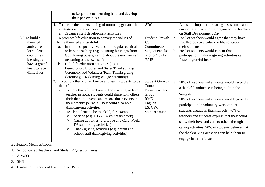|                                                                                                                                               | to keep students working hard and develop<br>their perseverance                                                                                                                                                                                                                                                                                                                                                                                                                                                                                                                                               |                                                                                                                               |                                                                                                                                                                                                                                                                                                                                                                                                                                                                                    |
|-----------------------------------------------------------------------------------------------------------------------------------------------|---------------------------------------------------------------------------------------------------------------------------------------------------------------------------------------------------------------------------------------------------------------------------------------------------------------------------------------------------------------------------------------------------------------------------------------------------------------------------------------------------------------------------------------------------------------------------------------------------------------|-------------------------------------------------------------------------------------------------------------------------------|------------------------------------------------------------------------------------------------------------------------------------------------------------------------------------------------------------------------------------------------------------------------------------------------------------------------------------------------------------------------------------------------------------------------------------------------------------------------------------|
|                                                                                                                                               | 4. To enrich the understanding of nurturing grit and the<br>strategies among teachers<br>a. Organize staff development activities                                                                                                                                                                                                                                                                                                                                                                                                                                                                             | <b>SDC</b>                                                                                                                    | workshop or sharing session<br>about<br>a. A<br>nurturing grit would be organized for teachers<br>on Staff Development Day                                                                                                                                                                                                                                                                                                                                                         |
| 3.2 To build a<br>thankful<br>ambience to<br>let students<br>count their<br>blessings and<br>have a grateful<br>heart to face<br>difficulties | 1. To promote life education to convey the values of<br>being thankful and grateful<br>instill these positive values into regular curricula<br>a.<br>or lesson teaching (e.g. counting blessings from<br>God, loving others, caring about the environment,<br>treasuring one's own self)<br>Hold life education activities (e.g. F.1)<br>$\mathbf b$ .<br>Benediction, Brother and Sister Thanksgiving<br>Ceremony, F.4 Volunteer Team Thanksgiving<br>Ceremony, F.6 Coming-of-age ceremony)                                                                                                                  | <b>Student Growth</b><br>Com.;<br>Committees/<br>Subject Panels/<br>Groups/ Clubs<br><b>RME</b>                               | 75% of teachers would agree that they have<br>a.<br>instilled positive values or life education in<br>their students<br>b. 70% of students would concur that<br>participation in thanksgiving activities can<br>foster a grateful heart                                                                                                                                                                                                                                            |
|                                                                                                                                               | 2. To build a thankful ambience and teach students to be<br>thankful<br>Build a thankful ambience: for example, in form<br>a.<br>teacher periods, students could share with others<br>their thankful events and record those events in<br>their weekly journals. They could also hold<br>thanksgiving activities.<br>Teach students to be thankful, for example<br>$\mathbf{b}$ .<br>Service (e.g. F.1 & F.4 voluntary work)<br>✧<br>✧<br>Caring activities (e.g. Love and Care Week,<br>F.6 supporting activities)<br>Thanksgiving activities (e.g. parent and<br>✧<br>school staff thanksgiving activities) | <b>Student Growth</b><br>$Com.$ :<br>Form Teachers<br>Group<br><b>RME</b><br>English<br>LS, CYC<br><b>Student Union</b><br>GC | 70% of teachers and students would agree that<br>a.<br>a thankful ambience is being built in the<br>campus<br>b. 70% of teachers and students would agree that<br>participation in voluntary work can let<br>students engage in thankful acts; 70% of<br>teachers and students express that they could<br>show their love and care to others through<br>caring activities; 70% of students believe that<br>the thanksgiving activities can help them to<br>engage in thankful acts |

Evaluation Methods/Tools:

1. School-based Teachers' and Students' Questionnaires

- 2. APASO
- 3. SHS
- 4. Evaluation Reports of Each Subject Panel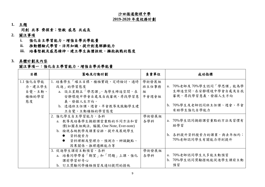#### 沙田循道衛理中學

#### **2019-2020** 年度校務計劃

**1.** 主題

同創 共享 齊探索;堅毅 感恩 共成長

- **2.** 關注事項
	- **i.** 強化自主學習能力,增強自學共學能量
	- **ii.** 推動體驗式學習,活用知識,提升創意解難能力
	- **iii.** 培養堅毅及感恩精神,建立學生無懼挫敗,擁抱挑戰的態度
- **3.** 具體計劃及內容

#### 關注事項一:強化自主學習能力,增強自學共學能量

| 目標                                           | 策略及行動計劃                                                                                                                                                                                 | 負責單位                         | 成功指標                                                                                                            |
|----------------------------------------------|-----------------------------------------------------------------------------------------------------------------------------------------------------------------------------------------|------------------------------|-----------------------------------------------------------------------------------------------------------------|
| 1.1 強化自學能<br>力,建立學生<br>自覺、主動、<br>積極的學習<br>態度 | 1. 培養學生「確立目標、積極實踐、定時檢討、適時<br>改進   的學習態度<br>a. 設立星期五「學思課」,為學生締造空間,在<br>安靜環境中學會自處及自我審視,尋找學習意<br>義,發掘人生方向。<br>b. 透過班主任課、週會、早會教導及鼓勵學生建                                                      | 學術發展組<br>班主任事務<br>組<br>早會週會組 | 70%老師及70%學生認同「學思課」能為學<br>a.<br>生締造空間,在安靜環境中學會自處及自我<br>審視,尋找學習意義,發掘人生方向<br>b. 70%學生及老師認同班主任課、週會、早會<br>有助學生強化自學能力 |
|                                              | 立自覺、主動積極的學習態度<br>2. 強化學生自主學習能力,各科<br>a. 教導及培養學生摘錄課堂重點的不同方法和習<br>慣(如圖表組織法,腦圖, One Note, Ever-note)<br>b. 檢視各級教學及課業安排,提升及展現學生<br>資料搜索力<br>$\bullet$<br>資料理解及整理力,預測力、辨識觀點、<br>因果關係、推理邏輯能力等 | 學術發展組<br>各學科                 | a. 70%學生認同摘錄課堂重點的方法及習慣有<br>助學習<br>b. 各科提升資料搜索力的課業,與去年相約;<br>70%老師認同學生有關能力得到提升                                   |
|                                              | 3. 促進學生課前主動預習,各科<br>a. 培養同學帶着「期望」和「問題」上課,強化<br>課前學習好奇心<br>b. 訂立獎勵同學積極預習及適切提問的措施                                                                                                         | 學術發展組<br>各學科                 | a. 70%老師認同學生大多能主動預習<br>b. 70%學生認同獎勵措施能促進學生課前主動<br>預習                                                            |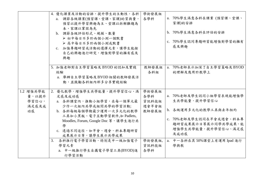|                                            | 4. 優化課業及活動的安排,提升學生的主動性,各科<br>a. 調節各級課業(預習課、堂課、家課)的質與量,<br>預習以提升學習興趣為主、堂課以拆解難題為<br>本、家課以鞏固為先<br>b. 調節各級評估形式、規模、數量<br>>初中每日不多於兩個小測一個默書<br>▶ 高中每日不多於兩個小測或默書<br>c. 加強專題研習或活動的選擇元素,讓學生能按<br>自己的興趣進行研究,增強對學習的擁有感及<br>興趣                                                                | 學術發展組<br>各學科                                               | a. 70%學生滿意各科在課業(預習課、堂課、<br>家課)的安排<br>b. 70%學生滿意各科在評估的安排<br>c. 70%學生認同專題研習能增強對學習的擁有<br>感及興趣                                                                                            |
|--------------------------------------------|----------------------------------------------------------------------------------------------------------------------------------------------------------------------------------------------------------------------------------------------------------------------------------|------------------------------------------------------------|---------------------------------------------------------------------------------------------------------------------------------------------------------------------------------------|
|                                            | 5. 加強老師對自主學習策略及 BYOD 的認知及實踐<br>經驗<br>a. 舉辦自主學習策略及BYOD相關的教師發展活<br>動,並鼓勵各科組內部多分享實踐經驗                                                                                                                                                                                               | 教師發展組<br>各科組                                               | a. 70%老師表示加深了自主學習策略及BYOD<br>的理解及應用於教學上                                                                                                                                                |
| 1.2 增強共學能<br>量,以提升<br>學習信心,<br>滿足感及成<br>功感 | 2. 優化教學,增強學生共學能量,提升學習信心、滿<br>足感及成功感<br>a. 各科課堂內, 推動小組學習, 在每一個單元最<br>少作一次組內共學或組間共學的學習活動;<br>b. 各科每級每個學期最少運用一次多元化的教學<br>工具如小黑板、電子互動學習軟件,如 Padlets,<br>Moodles, Forum, Google Doc 等, 讓學生進行共<br>學<br>c. 透過不同途徑,如早會、週會、科本專題研習<br>成果展示日等,讓學生展示共學成果<br>3. 各科推行電子學習活動,特別是中一級加強電子<br>學習元素 | 學術發展組<br>各學科<br>資訊科技組<br>週會早會組<br>教師發展組<br>學術發展組,<br>資訊科技組 | a. 70%老師及學生認同小組學習表現能增強學<br>生共學能量,提升學習信心<br>b. 各級運用多元化的教學工具與去年相約<br>c. 70%老師及學生認同在早會或週會、科本專<br>題研習成果展示日等展示同學共學成果,能<br>增強學生共學能量,提升學習信心、滿足感<br>及成功感<br>a. 中一各科在其50%課堂上有運用 Ipad 進行<br>學與教 |
|                                            | a. 中一級推行學生自攜電子學習工具(BYOD)進<br>行學習活動                                                                                                                                                                                                                                               | 各學科                                                        |                                                                                                                                                                                       |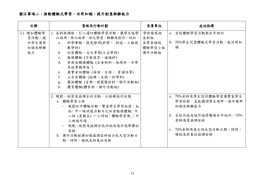### 關注事項二:推動體驗式學習,活用知識,提升創意解難能力

| 日標        | 策略及行動計劃                             | 負責單位   | 成功指標                   |
|-----------|-------------------------------------|--------|------------------------|
| 2.1 增加體驗學 | 1. 各科組課程, 引入適切體驗學習活動, 讓學生能學         | 學術發展組  | a. 全校體驗學習活動與去年相約       |
| 習活動,提     | 以致用、用以致學,深化學習,解難及創作。例如:             | 各科組    |                        |
| 升學生應用     | 科學實驗,探究發明(科學、 科技、工程與<br>a.          | 各學習領域  | b. 70%學生同意體驗式學習活動,能活用知 |
| 知識及解難     | 數學科)                                | 體驗學習小組 | 識                      |
| 能力        | 社區體驗、文化考察(人文學科)<br>b.               | 課外活動組  |                        |
|           | 服務體驗 (宗教德育、通識科)<br>$c_{\cdot}$      |        |                        |
|           | 營商或職場體驗 (企會財科、經濟科、升學<br>$d_{\cdot}$ |        |                        |
|           | 及就業輔導組)                             |        |                        |
|           | 真實會話體驗 (英語、日語、 普通話等)<br>e.          |        |                        |
|           | 大自然體驗 (地理、生物、科學科)<br>f.             |        |                        |
|           | 藝術體驗 (音樂、視覺藝術科、課外活動組)<br>g.         |        |                        |
|           | $h_{\cdot}$<br>體育體驗(體育科、課外活動組)      |        |                        |
|           |                                     |        |                        |
|           | 2. 規劃、統整及協調全校活動,以發揮協同效應             |        | a. 70%老師及學生認同體驗學習課豐富學生 |
|           | a. 體驗學習小組                           |        | 學習經歷,並能擴闊學生視野,提升應用     |
|           | - 規劃初中體驗活動, 豐富學生學習經歷, 包             |        | 知識及解難能力                |
|           | 括: 中一級試後活動日之社會服務體驗; 中               |        |                        |
|           | 二級 (星期五) 一小時的「體驗學習課;中               |        | b. 全校內地及境外遊學團與去年相約,70% |
|           | 三級境外遊                               |        | 老師滿意協調安排               |
|           | - 規劃、統整及協調全校內地及境外遊學團的               |        |                        |
|           | 安排                                  |        | c. 70%老師滿意全校大型活動日期、時間, |
|           | b. 課外活動組課加強協調各科組全校大型活動日             |        | 場地及對象的協調安排             |
|           | 期、時間,場地及對象的安排                       |        |                        |
|           |                                     |        |                        |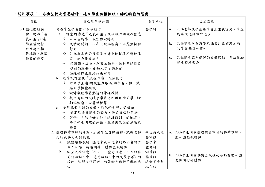## 關注事項三:培養堅毅及感恩精神,建立學生無懼挫敗,擁抱挑戰的態度

| 目標                                                                 | 策略及行動計劃                                                                                                                                                                                                                                                                                                                                                                                                                     | 負責單位                                                     | 成功指標                                                                                                                                          |
|--------------------------------------------------------------------|-----------------------------------------------------------------------------------------------------------------------------------------------------------------------------------------------------------------------------------------------------------------------------------------------------------------------------------------------------------------------------------------------------------------------------|----------------------------------------------------------|-----------------------------------------------------------------------------------------------------------------------------------------------|
| 3.1 強化堅毅精<br>神,培養「成<br>長心態」,讓<br>學生重視努<br>力及建立擁<br>抱挑戰、無懼<br>挫敗的態度 | 1. 培養學生學習信心和恆毅力<br>a. 課堂內傳遞「成長心態」及恆毅力的核心信息<br>◆ 人人皆能學,我信你做得到<br>◆ 成功的關鍵,不在天賦與智商,而是熱情和<br>努力<br>◆ 訂立有意義的目標及有計劃地持續不斷地練<br>習,能力便會提昇<br>◆ 從錯誤中成長,別害怕挫折,挫折是達到目<br>標前的障礙,是每人都會遇到的<br>◆ 過程所得比最終結果重要<br>b. 教學設計強化「成長心態」及恆毅力<br>◆ 訂立學生適切(較能力略高)的學習目標,鼓<br>勵同學擁抱挑戰<br>◆ 設計激發學習熱情的伸延教材<br>◆ 提供適切的支援予學習遇到困難的同學,如:<br>拆解概念、分層教材等<br>c. 多用正面具體的回饋,強化學生努力的價值<br>◆ 肯定及讚賞學生的努力、學習策略和行動<br>◆ 就學生「做得好」和「還沒做到」的地方,<br>給予學生明確的評語,並提供改進的方法及<br>機會 | 各學科                                                      | 70%老師及學生在學習上重視努力,學生<br>a.<br>能在改進錯誤中進步<br>70%學生同意教學及課業計設有助加強<br>$\mathbf{b}$ .<br>其學習熱情和信心<br>70%學生認同老師的回饋適切,有助鼓勵<br>C <sub>1</sub><br>學生持續努力 |
|                                                                    | 2. 透過持續訓練的活動,加強學生自律精神,鼓勵友伴<br>同行及共同面對挑戰<br>a. 鼓勵環邨長跑、陸運會及水運會的參與者訂立<br>個人目標,持續訓練,體驗堅毅精神<br>b. 於全級性活動 (如:中一歷奇日營、中二結伴<br>同行活動、中三遠足活動、中四成長營等)的<br>設計,強調友伴同行,加強學生面對困難的決<br>心                                                                                                                                                                                                                                                     | 學生成長組<br>各科組<br>各學會<br>體育科<br>訓導組<br>輔導組<br>週會早會組<br>班主任 | a. 70%學生同意透過體育項目的持續訓練,<br>能加強堅毅精神<br>b. 70%學生同意參與全級性的活動有助加強<br>友伴同行的體驗                                                                        |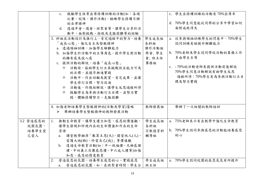|           | 鼓勵學生恆常出席持續訓練的活動(如:各項<br>c.    |       | c. 學生在持續訓練的活動有70%出席率   |
|-----------|-------------------------------|-------|------------------------|
|           | 比賽、校隊、課外活動),鍛練學生持續不懈          |       |                        |
|           | 的自律精神                         |       | d. 70%學生同意能從同學的分享中學習如何 |
|           | d. 透過早會、週會、班聚會等,讓學生分享於活       |       | 面對成敗得失                 |
|           | 動中,面對挑戰、挫敗及克服困難等的經驗           |       |                        |
|           | 3. 科組在活動設計及推行上,肯定過程中的努力,培養    | 學生成長組 | a. 從參與領袖訓練學生的問卷中,70%學生 |
|           | 「成長心態」,強化自主及堅毅精神              | 各科組   | 認同訓練有助提升解難能力           |
|           | a. 透過領袖訓練,加強學生解難能力            | 課外活動組 |                        |
|           | b. 加強學生於活動中的主導角色,提升學生對活動      | 學會,學生 | b. 70%老師及學生認同學校活動的籌備工作 |
|           | 的擁有感及投入感                      | 會,班主任 | 多由學生主導                 |
|           | c. 提供活動的解說,培養「成長心態」           | 事務組   |                        |
|           | ◆ 活動前,協助學生訂立具挑戰性且能力可及         |       | c. - 70%的活動老師有提供活動前後解說 |
|           | 的目標,並循序漸進實踐                   |       | 70%學生同意活動解說有助學生反思      |
|           | ◆ 活動中,作出回顧及展望,肯定成果,並讓         |       | 過程所得;70%學生有為參與活動訂立目    |
|           | 學生修訂目標,努力改進                   |       | 標及努力實踐                 |
|           | ◆ 活動後,作總結解說,讓學生反思過程所得         |       |                        |
|           | ◆ 鼓勵學生為參與活動訂立目標,並努力實          |       |                        |
|           | 踐,體驗持續努力、克服困難                 |       |                        |
|           |                               |       |                        |
|           | 4. 加強老師培養學生堅毅精神的(活動及學習)策略     | 教師發展組 | 舉辦了一次相關的教師培訓           |
|           | 舉辦培養學生堅毅精神的教師發展活動<br>➤        |       |                        |
|           |                               |       |                        |
| 3.2 營造感恩的 | 推動生命教育,讓學生建立知恩、感恩的價值觀,<br>1.  | 學生成長組 | a. 75%老師表示有在教學中強化生命教育  |
| 校園氛圍,     | 讓學生發現和珍視內在的生命價值和外在的生命         | 各科組   |                        |
| 培養學生愛     | 資源                            | 宗教德育科 | b. 70%學生認同參與感恩的活動能培養感恩 |
| 己愛人       | 課堂教學融滲「數算主恩(天)、關愛他人(人)、<br>a. | 輔導組   | 的心                     |
|           | 愛護大地(物)、珍愛自己(我)」等價值觀          |       |                        |
|           | b. 透過生命教育活動(如:中一祝福禮、兄姊感謝      |       |                        |
|           | 禮、中四義工兵團感恩禮、中六成人禮等)加強         |       |                        |
|           | 知恩、感恩的情意教育                    |       |                        |
|           | 營造感恩的氛圍,培養學生感恩的心、實踐感恩<br>2.   | 學生成長組 | a. 70%學生認同校園的感恩氣氛有所提升  |
|           | 營造感恩的氛圍,如:在班聚會時間,學生分<br>a.    | 班主任   |                        |